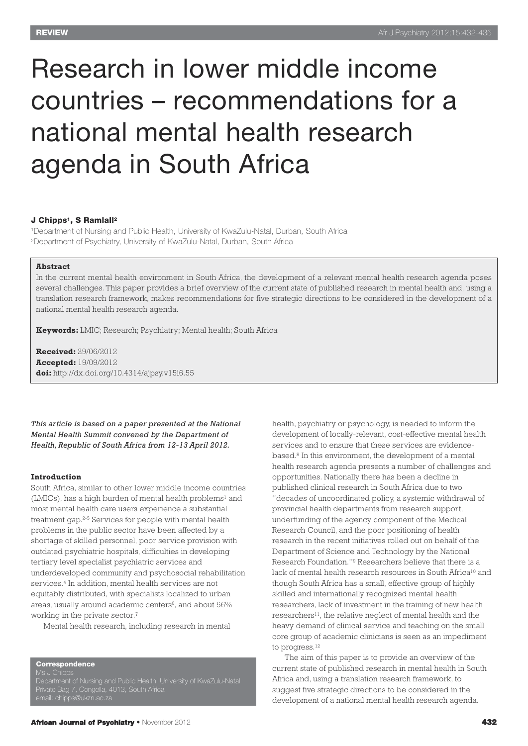# Research in lower middle income countries – recommendations for a national mental health research agenda in South Africa

# **J Chipps1, S Ramlall2**

1Department of Nursing and Public Health, University of KwaZulu-Natal, Durban, South Africa 2Department of Psychiatry, University of KwaZulu-Natal, Durban, South Africa

# **Abstract**

In the current mental health environment in South Africa, the development of a relevant mental health research agenda poses several challenges. This paper provides a brief overview of the current state of published research in mental health and, using a translation research framework, makes recommendations for five strategic directions to be considered in the development of a national mental health research agenda.

**Keywords:** LMIC; Research; Psychiatry; Mental health; South Africa

**Received:** 29/06/2012 **Accepted:** 19/09/2012 **doi:** http://dx.doi.org/10.4314/ajpsy.v15i6.55

*This article is based on a paper presented at the National Mental Health Summit convened by the Department of Health, Republic of South Africa from 12-13 April 2012.*

#### **Introduction**

South Africa, similar to other lower middle income countries  $(LMICs)$ , has a high burden of mental health problems<sup>1</sup> and most mental health care users experience a substantial treatment gap. 2-5 Services for people with mental health problems in the public sector have been affected by a shortage of skilled personnel, poor service provision with outdated psychiatric hospitals, difficulties in developing tertiary level specialist psychiatric services and underdeveloped community and psychosocial rehabilitation services. <sup>4</sup> In addition, mental health services are not equitably distributed, with specialists localized to urban areas, usually around academic centers<sup>6</sup>, and about 56% working in the private sector.<sup>7</sup>

Mental health research, including research in mental

**Correspondence**

Department of Nursing and Public Health, University of KwaZulu-Natal Private Bag 7, Congella, 4013, South Africa

health, psychiatry or psychology, is needed to inform the development of locally-relevant, cost-effective mental health services and to ensure that these services are evidencebased. <sup>8</sup> In this environment, the development of a mental health research agenda presents a number of challenges and opportunities. Nationally there has been a decline in published clinical research in South Africa due to two "decades of uncoordinated policy, a systemic withdrawal of provincial health departments from research support, underfunding of the agency component of the Medical Research Council, and the poor positioning of health research in the recent initiatives rolled out on behalf of the Department of Science and Technology by the National Research Foundation."9 Researchers believe that there is a lack of mental health research resources in South Africa<sup>10</sup> and though South Africa has a small, effective group of highly skilled and internationally recognized mental health researchers, lack of investment in the training of new health researchers<sup>11</sup>, the relative neglect of mental health and the heavy demand of clinical service and teaching on the small core group of academic clinicians is seen as an impediment to progress. 12

The aim of this paper is to provide an overview of the current state of published research in mental health in South Africa and, using a translation research framework, to suggest five strategic directions to be considered in the development of a national mental health research agenda.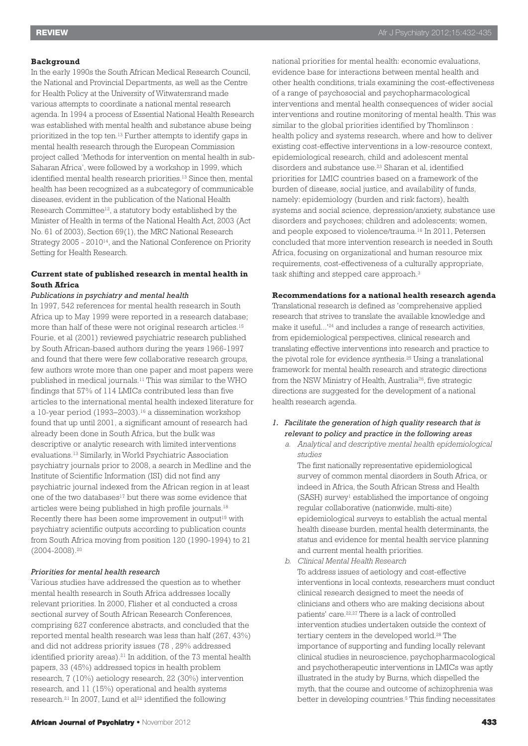## **Background**

In the early 1990s the South African Medical Research Council, the National and Provincial Departments, as well as the Centre for Health Policy at the University of Witwatersrand made various attempts to coordinate a national mental research agenda. In 1994 a process of Essential National Health Research was established with mental health and substance abuse being prioritized in the top ten.13 Further attempts to identify gaps in mental health research through the European Commission project called 'Methods for intervention on mental health in sub-Saharan Africa', were followed by a workshop in 1999, which identified mental health research priorities. <sup>13</sup> Since then, mental health has been recognized as a subcategory of communicable diseases, evident in the publication of the National Health Research Committee12, a statutory body established by the Minister of Health in terms of the National Health Act, 2003 (Act No. 61 of 2003), Section 69(1), the MRC National Research Strategy 2005 - 201014, and the National Conference on Priority Setting for Health Research.

# **Current state of published research in mental health in South Africa**

#### *Publications in psychiatry and mental health*

In 1997, 542 references for mental health research in South Africa up to May 1999 were reported in a research database; more than half of these were not original research articles. 15 Fourie, et al (2001) reviewed psychiatric research published by South African-based authors during the years 1966-1997 and found that there were few collaborative research groups, few authors wrote more than one paper and most papers were published in medical journals. <sup>11</sup> This was similar to the WHO findings that 57% of 114 LMICs contributed less than five articles to the international mental health indexed literature for a 10-year period (1993–2003). <sup>16</sup> a dissemination workshop found that up until 2001, a significant amount of research had already been done in South Africa, but the bulk was descriptive or analytic research with limited interventions evaluations. <sup>13</sup> Similarly, in World Psychiatric Association psychiatry journals prior to 2008, a search in Medline and the Institute of Scientific Information (ISI) did not find any psychiatric journal indexed from the African region in at least one of the two databases<sup>17</sup> but there was some evidence that articles were being published in high profile journals. 18 Recently there has been some improvement in output<sup>19</sup> with psychiatry scientific outputs according to publication counts from South Africa moving from position 120 (1990-1994) to 21 (2004-2008). 20

# *Priorities for mental health research*

Various studies have addressed the question as to whether mental health research in South Africa addresses locally relevant priorities. In 2000, Flisher et al conducted a cross sectional survey of South African Research Conferences, comprising 627 conference abstracts, and concluded that the reported mental health research was less than half (267, 43%) and did not address priority issues (78 , 29% addressed identified priority areas). <sup>21</sup> In addition, of the 73 mental health papers, 33 (45%) addressed topics in health problem research, 7 (10%) aetiology research, 22 (30%) intervention research, and 11 (15%) operational and health systems research. <sup>21</sup> In 2007, Lund et al <sup>22</sup> identified the following

national priorities for mental health: economic evaluations, evidence base for interactions between mental health and other health conditions, trials examining the cost-effectiveness of a range of psychosocial and psychopharmacological interventions and mental health consequences of wider social interventions and routine monitoring of mental health. This was similar to the global priorities identified by Thomlinson : health policy and systems research, where and how to deliver existing cost-effective interventions in a low-resource context, epidemiological research, child and adolescent mental disorders and substance use. <sup>23</sup> Sharan et al, identified priorities for LMIC countries based on a framework of the burden of disease, social justice, and availability of funds, namely: epidemiology (burden and risk factors), health systems and social science, depression/anxiety, substance use disorders and psychoses; children and adolescents; women, and people exposed to violence/trauma. <sup>16</sup> In 2011, Petersen concluded that more intervention research is needed in South Africa, focusing on organizational and human resource mix requirements, cost-effectiveness of a culturally appropriate, task shifting and stepped care approach. 3

# **Recommendations for a national health research agenda**

Translational research is defined as 'comprehensive applied research that strives to translate the available knowledge and make it useful...' <sup>24</sup> and includes a range of research activities, from epidemiological perspectives, clinical research and translating effective interventions into research and practice to the pivotal role for evidence synthesis. <sup>25</sup> Using a translational framework for mental health research and strategic directions from the NSW Ministry of Health, Australia26, five strategic directions are suggested for the development of a national health research agenda.

- *1. Facilitate the generation of high quality research that is relevant to policy and practice in the following areas*
	- *a. Analytical and descriptive mental health epidemiological studies*

The first nationally representative epidemiological survey of common mental disorders in South Africa, or indeed in Africa, the South African Stress and Health (SASH) survey1 established the importance of ongoing regular collaborative (nationwide, multi-site) epidemiological surveys to establish the actual mental health disease burden, mental health determinants, the status and evidence for mental health service planning and current mental health priorities.

*b. Clinical Mental Health Research*

To address issues of aetiology and cost-effective interventions in local contexts, researchers must conduct clinical research designed to meet the needs of clinicians and others who are making decisions about patients' care. 22,27 There is a lack of controlled intervention studies undertaken outside the context of tertiary centers in the developed world. <sup>28</sup> The importance of supporting and funding locally relevant clinical studies in neuroscience, psychopharmacological and psychotherapeutic interventions in LMICs was aptly illustrated in the study by Burns, which dispelled the myth, that the course and outcome of schizophrenia was better in developing countries. <sup>5</sup> This finding necessitates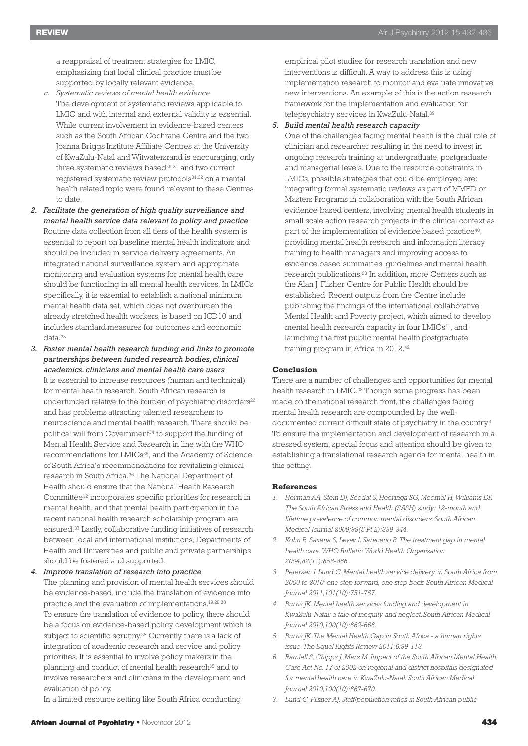a reappraisal of treatment strategies for LMIC, emphasizing that local clinical practice must be supported by locally relevant evidence.

- *c. Systematic reviews of mental health evidence* The development of systematic reviews applicable to LMIC and with internal and external validity is essential. While current involvement in evidence-based centers such as the South African Cochrane Centre and the two Joanna Briggs Institute Affiliate Centres at the University of KwaZulu-Natal and Witwatersrand is encouraging, only three systematic reviews based<sup>29-31</sup> and two current registered systematic review protocols<sup>31,32</sup> on a mental health related topic were found relevant to these Centres to date.
- *2. Facilitate the generation of high quality surveillance and mental health service data relevant to policy and practice* Routine data collection from all tiers of the health system is essential to report on baseline mental health indicators and should be included in service delivery agreements. An integrated national surveillance system and appropriate monitoring and evaluation systems for mental health care should be functioning in all mental health services. In LMICs specifically, it is essential to establish a national minimum mental health data set, which does not overburden the already stretched health workers, is based on ICD10 and includes standard measures for outcomes and economic data. 33
- *3. Foster mental health research funding and links to promote partnerships between funded research bodies, clinical academics, clinicians and mental health care users* It is essential to increase resources (human and technical) for mental health research. South African research is underfunded relative to the burden of psychiatric disorders<sup>22</sup> and has problems attracting talented researchers to neuroscience and mental health research. There should be political will from Government <sup>34</sup> to support the funding of Mental Health Service and Research in line with the WHO recommendations for LMICs<sup>35</sup>, and the Academy of Science of South Africa's recommendations for revitalizing clinical research in South Africa. <sup>36</sup> The National Department of Health should ensure that the National Health Research Committee12 incorporates specific priorities for research in mental health, and that mental health participation in the recent national health research scholarship program are ensured. <sup>37</sup> Lastly, collaborative funding initiatives of research between local and international institutions, Departments of Health and Universities and public and private partnerships should be fostered and supported.

*4. Improve translation of research into practice* The planning and provision of mental health services should be evidence-based, include the translation of evidence into

practice and the evaluation of implementations. 19,28,38 To ensure the translation of evidence to policy, there should be a focus on evidence-based policy development which is subject to scientific scrutiny. <sup>28</sup> Currently there is a lack of integration of academic research and service and policy priorities. It is essential to involve policy makers in the planning and conduct of mental health research<sup>35</sup> and to involve researchers and clinicians in the development and evaluation of policy.

In a limited resource setting like South Africa conducting

empirical pilot studies for research translation and new interventions is difficult. A way to address this is using implementation research to monitor and evaluate innovative new interventions. An example of this is the action research framework for the implementation and evaluation for telepsychiatry services in KwaZulu-Natal.<sup>39</sup>

#### *5. Build mental health research capacity*

One of the challenges facing mental health is the dual role of clinician and researcher resulting in the need to invest in ongoing research training at undergraduate, postgraduate and managerial levels. Due to the resource constraints in LMICs, possible strategies that could be employed are: integrating formal systematic reviews as part of MMED or Masters Programs in collaboration with the South African evidence-based centers, involving mental health students in small scale action research projects in the clinical context as part of the implementation of evidence based practice<sup>40</sup>, providing mental health research and information literacy training to health managers and improving access to evidence based summaries, guidelines and mental health research publications. <sup>28</sup> In addition, more Centers such as the Alan J. Flisher Centre for Public Health should be established. Recent outputs from the Centre include publishing the findings of the international collaborative Mental Health and Poverty project, which aimed to develop mental health research capacity in four LMICs<sup>41</sup>, and launching the first public mental health postgraduate training program in Africa in 2012. 42

## **Conclusion**

There are a number of challenges and opportunities for mental health research in LMIC. <sup>28</sup> Though some progress has been made on the national research front, the challenges facing mental health research are compounded by the welldocumented current difficult state of psychiatry in the country. 4 To ensure the implementation and development of research in a stressed system, special focus and attention should be given to establishing a translational research agenda for mental health in this setting.

## **References**

- *1. Herman AA, Stein DJ, Seedat S, Heeringa SG, Moomal H, Williams DR. The South African Stress and Health (SASH) study: 12-month and lifetime prevalence of common mental disorders. South African Medical Journal 2009;99(5 Pt 2):339-344.*
- *2. Kohn R, Saxena S, Levav I, Saraceno B. The treatment gap in mental health care.WHO Bulletin World Health Organisation 2004;82(11):858-866.*
- *3. Petersen I, Lund C. Mental health service delivery in South Africa from 2000 to 2010: one step forward, one step back. South African Medical Journal 2011;101(10):751-757.*
- *4. Burns JK. Mental health services funding and development in KwaZulu-Natal: a tale of inequity and neglect. South African Medical Journal 2010;100(10):662-666.*
- *5. Burns JK. The Mental Health Gap in South Africa - a human rights issue. The Equal Rights Review 2011;6:99-113.*
- *6. Ramlall S, Chipps J, Mars M. Impact of the South African Mental Health Care Act No. 17 of 2002 on regional and district hospitals designated for mental health care in KwaZulu-Natal. South African Medical Journal 2010;100(10):667-670.*
- *7. Lund C, Flisher AJ. Staff/population ratios in South African public*